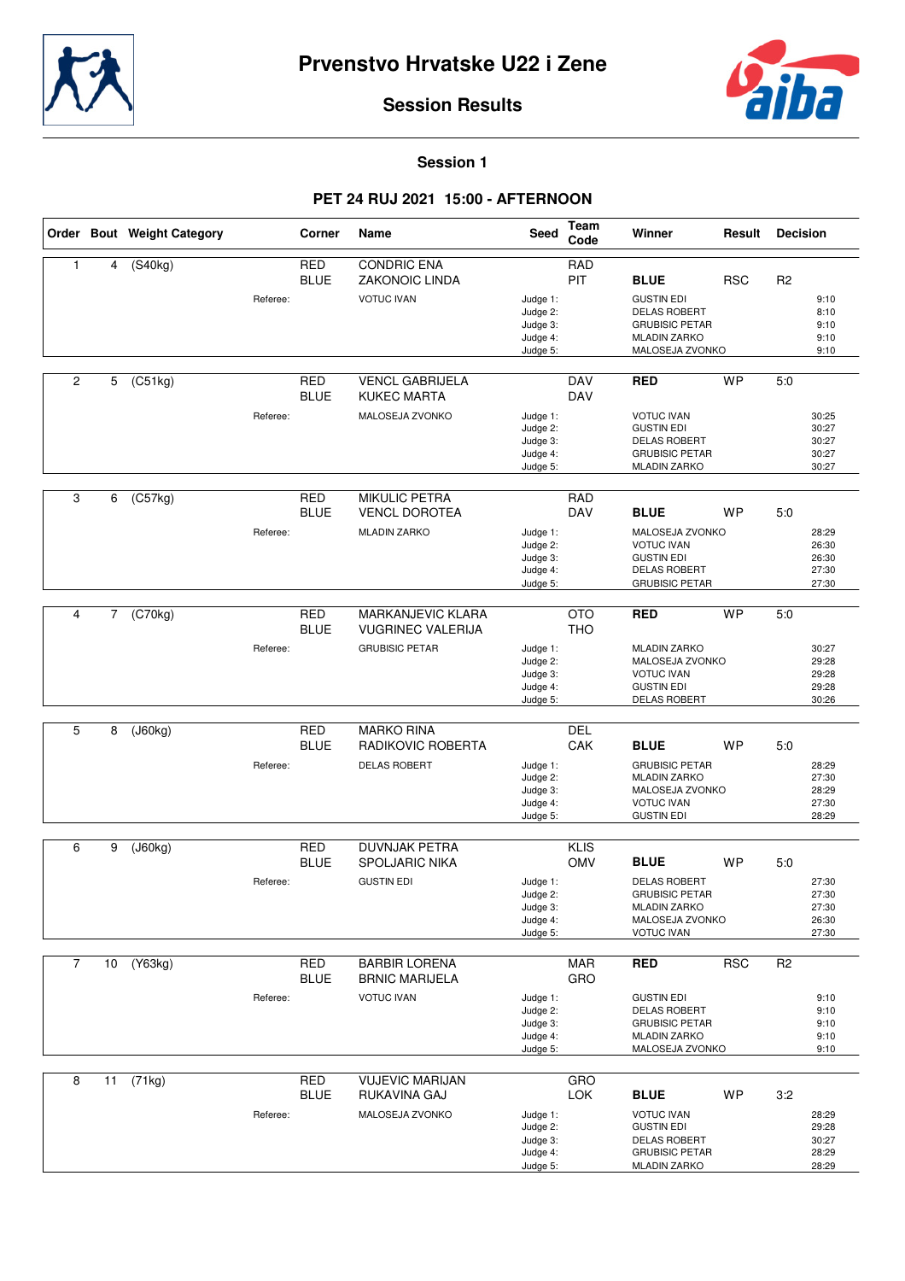



## **Session Results**

**Session 1**

## **PET 24 RUJ 2021 15:00 - AFTERNOON**

|                |                | Order Bout Weight Category |          | Corner                    | Name                                                                          | Seed                                                     | Team<br>Code              | Winner                                                                                                                      | Result     | <b>Decision</b> |                                           |
|----------------|----------------|----------------------------|----------|---------------------------|-------------------------------------------------------------------------------|----------------------------------------------------------|---------------------------|-----------------------------------------------------------------------------------------------------------------------------|------------|-----------------|-------------------------------------------|
| $\mathbf{1}$   | 4              | $($ S40 $kg)$              | Referee: | <b>RED</b><br><b>BLUE</b> | <b>CONDRIC ENA</b><br><b>ZAKONOIC LINDA</b><br><b>VOTUC IVAN</b>              | Judge 1:<br>Judge 2:<br>Judge 3:<br>Judge 4:<br>Judge 5: | <b>RAD</b><br>PIT         | <b>BLUE</b><br><b>GUSTIN EDI</b><br><b>DELAS ROBERT</b><br><b>GRUBISIC PETAR</b><br><b>MLADIN ZARKO</b><br>MALOSEJA ZVONKO  | <b>RSC</b> | R <sub>2</sub>  | 9:10<br>8:10<br>9:10<br>9:10<br>9:10      |
| $\overline{c}$ | 5              | (C51kg)                    | Referee: | <b>RED</b><br><b>BLUE</b> | <b>VENCL GABRIJELA</b><br><b>KUKEC MARTA</b><br>MALOSEJA ZVONKO               | Judge 1:<br>Judge 2:<br>Judge 3:<br>Judge 4:<br>Judge 5: | <b>DAV</b><br><b>DAV</b>  | <b>RED</b><br><b>VOTUC IVAN</b><br><b>GUSTIN EDI</b><br><b>DELAS ROBERT</b><br><b>GRUBISIC PETAR</b><br><b>MLADIN ZARKO</b> | <b>WP</b>  | 5:0             | 30:25<br>30:27<br>30:27<br>30:27<br>30:27 |
| 3              | 6              | (C57kg)                    | Referee: | <b>RED</b><br><b>BLUE</b> | <b>MIKULIC PETRA</b><br><b>VENCL DOROTEA</b><br><b>MLADIN ZARKO</b>           | Judge 1:<br>Judge 2:<br>Judge 3:<br>Judge 4:<br>Judge 5: | <b>RAD</b><br><b>DAV</b>  | <b>BLUE</b><br>MALOSEJA ZVONKO<br><b>VOTUC IVAN</b><br><b>GUSTIN EDI</b><br><b>DELAS ROBERT</b><br><b>GRUBISIC PETAR</b>    | <b>WP</b>  | 5.0             | 28:29<br>26:30<br>26:30<br>27:30<br>27:30 |
| 4              | $\overline{7}$ | (C70kg)                    | Referee: | <b>RED</b><br><b>BLUE</b> | <b>MARKANJEVIC KLARA</b><br><b>VUGRINEC VALERIJA</b><br><b>GRUBISIC PETAR</b> | Judge 1:<br>Judge 2:<br>Judge 3:<br>Judge 4:<br>Judge 5: | <b>OTO</b><br><b>THO</b>  | <b>RED</b><br><b>MLADIN ZARKO</b><br>MALOSEJA ZVONKO<br><b>VOTUC IVAN</b><br><b>GUSTIN EDI</b><br><b>DELAS ROBERT</b>       | <b>WP</b>  | 5:0             | 30:27<br>29:28<br>29:28<br>29:28<br>30:26 |
| 5              | 8              | (J60kg)                    | Referee: | <b>RED</b><br><b>BLUE</b> | <b>MARKO RINA</b><br>RADIKOVIC ROBERTA<br><b>DELAS ROBERT</b>                 | Judge 1:<br>Judge 2:<br>Judge 3:<br>Judge 4:<br>Judge 5: | <b>DEL</b><br>CAK         | <b>BLUE</b><br><b>GRUBISIC PETAR</b><br><b>MLADIN ZARKO</b><br>MALOSEJA ZVONKO<br><b>VOTUC IVAN</b><br><b>GUSTIN EDI</b>    | <b>WP</b>  | 5:0             | 28:29<br>27:30<br>28:29<br>27:30<br>28:29 |
| 6              | 9              | (J60kg)                    | Referee: | <b>RED</b><br><b>BLUE</b> | <b>DUVNJAK PETRA</b><br><b>SPOLJARIC NIKA</b><br><b>GUSTIN EDI</b>            | Judge 1:<br>Judge 2:<br>Judge 3:<br>Judge 4:<br>Judge 5: | <b>KLIS</b><br><b>OMV</b> | <b>BLUE</b><br><b>DELAS ROBERT</b><br><b>GRUBISIC PETAR</b><br><b>MLADIN ZARKO</b><br>MALOSEJA ZVONKO<br><b>VOTUC IVAN</b>  | <b>WP</b>  | 5:0             | 27:30<br>27:30<br>27:30<br>26:30<br>27:30 |
| $\overline{7}$ | 10             | (Y63kg)                    | Referee: | RED<br><b>BLUE</b>        | <b>BARBIR LORENA</b><br><b>BRNIC MARIJELA</b><br><b>VOTUC IVAN</b>            | Judge 1:<br>Judge 2:<br>Judge 3:<br>Judge 4:<br>Judge 5: | <b>MAR</b><br>GRO         | <b>RED</b><br><b>GUSTIN EDI</b><br>DELAS ROBERT<br><b>GRUBISIC PETAR</b><br><b>MLADIN ZARKO</b><br>MALOSEJA ZVONKO          | <b>RSC</b> | R <sub>2</sub>  | 9:10<br>9:10<br>9:10<br>9:10<br>9:10      |
| 8              | 11             | (71kg)                     | Referee: | RED<br><b>BLUE</b>        | <b>VUJEVIC MARIJAN</b><br>RUKAVINA GAJ<br>MALOSEJA ZVONKO                     | Judge 1:<br>Judge 2:<br>Judge 3:<br>Judge 4:<br>Judge 5: | <b>GRO</b><br><b>LOK</b>  | <b>BLUE</b><br><b>VOTUC IVAN</b><br><b>GUSTIN EDI</b><br>DELAS ROBERT<br><b>GRUBISIC PETAR</b><br><b>MLADIN ZARKO</b>       | <b>WP</b>  | 3:2             | 28:29<br>29:28<br>30:27<br>28:29<br>28:29 |